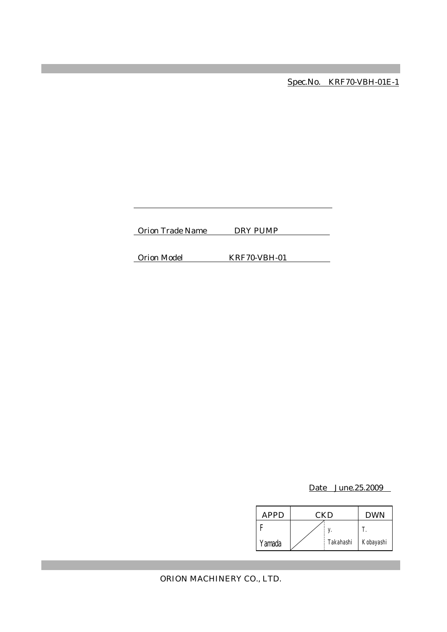Spec.No. KRF70-VBH-01E-1

Orion Trade Name DRY PUMP

Orion Model KRF70-VBH-01

Date June.25.2009

| APPD   | CKD |           | <b>DWN</b> |
|--------|-----|-----------|------------|
|        |     |           |            |
| Yamada |     | Takahashi | Kobayashi  |

ORION MACHINERY CO., LTD.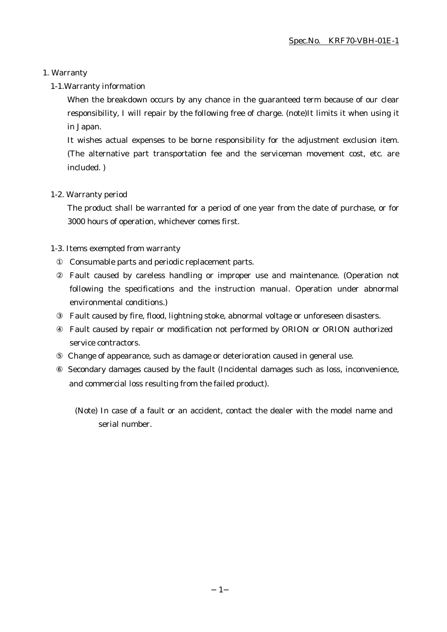### 1. Warranty

### 1-1.Warranty information

When the breakdown occurs by any chance in the guaranteed term because of our clear responsibility, I will repair by the following free of charge. (note)It limits it when using it in Japan.

It wishes actual expenses to be borne responsibility for the adjustment exclusion item. (The alternative part transportation fee and the serviceman movement cost, etc. are included. )

#### 1-2. Warranty period

The product shall be warranted for a period of one year from the date of purchase, or for 3000 hours of operation, whichever comes first.

### 1-3. Items exempted from warranty

Consumable parts and periodic replacement parts.

Fault caused by careless handling or improper use and maintenance. (Operation not following the specifications and the instruction manual. Operation under abnormal environmental conditions.)

Fault caused by fire, flood, lightning stoke, abnormal voltage or unforeseen disasters.

Fault caused by repair or modification not performed by ORION or ORION authorized service contractors.

Change of appearance, such as damage or deterioration caused in general use.

 Secondary damages caused by the fault (Incidental damages such as loss, inconvenience, and commercial loss resulting from the failed product).

(Note) In case of a fault or an accident, contact the dealer with the model name and serial number.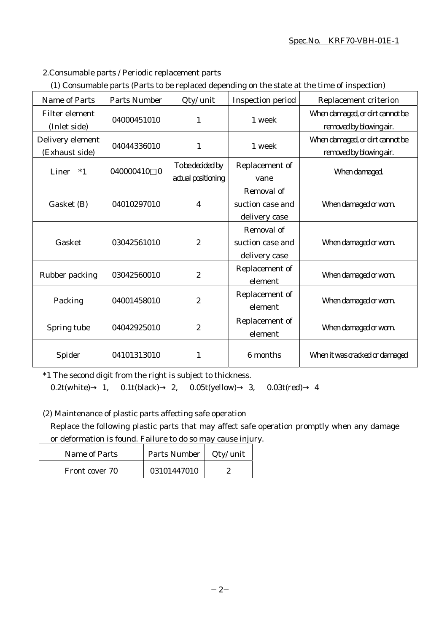#### Spec.No. KRF70-VBH-01E-1

2.Consumable parts / Periodic replacement parts

|  | (1) Consumable parts (Parts to be replaced depending on the state at the time of inspection) |  |
|--|----------------------------------------------------------------------------------------------|--|
|  |                                                                                              |  |

| Name of Parts                      | Parts Number          | Qty/ unit                              | Inspection period                               | Replacement criterion                                      |
|------------------------------------|-----------------------|----------------------------------------|-------------------------------------------------|------------------------------------------------------------|
| Filter element<br>(Inlet side)     | 04000451010           | $\mathbf{1}$                           | 1 week                                          | When damaged, or dirt cannot be<br>removed by blowing air. |
| Delivery element<br>(Exhaust side) | 04044336010           | $\mathbf{1}$                           | 1 week                                          | When damaged, or dirt cannot be<br>removed by blowing air. |
| Liner<br>$*1$                      | 040000410<br>$\bf{0}$ | To be decided by<br>actual positioning | Replacement of<br>vane                          | When damaged.                                              |
| Gasket (B)                         | 04010297010           | $\boldsymbol{4}$                       | Removal of<br>suction case and<br>delivery case | When damaged or worn.                                      |
| Gasket                             | 03042561010           | $\boldsymbol{2}$                       | Removal of<br>suction case and<br>delivery case | When damaged or worn.                                      |
| Rubber packing                     | 03042560010           | $\boldsymbol{2}$                       | Replacement of<br>element                       | When damaged or worn.                                      |
| Packing                            | 04001458010           | $\boldsymbol{2}$                       | Replacement of<br>element                       | When damaged or worn.                                      |
| Spring tube                        | 04042925010           | $\boldsymbol{2}$                       | Replacement of<br>element                       | When damaged or worn.                                      |
| Spider                             | 04101313010           | $\mathbf{1}$                           | 6 months                                        | When it was cracked or damaged                             |

\*1 The second digit from the right is subject to thickness.

0.2t(white) 1, 0.1t(black) 2, 0.05t(yellow) 3, 0.03t(red) 4

(2) Maintenance of plastic parts affecting safe operation

Replace the following plastic parts that may affect safe operation promptly when any damage or deformation is found. Failure to do so may cause injury.

| Name of Parts  | Parts Number | Qty/ unit |
|----------------|--------------|-----------|
| Front cover 70 | 03101447010  |           |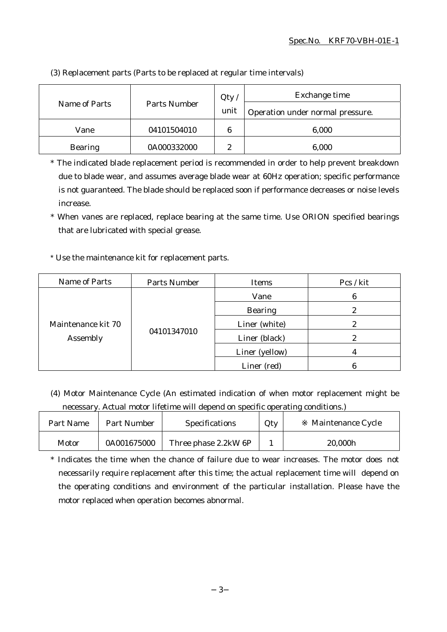| Parts Number<br>Name of Parts |             | Qty                              | Exchange time |
|-------------------------------|-------------|----------------------------------|---------------|
|                               | unit        | Operation under normal pressure. |               |
| Vane                          | 04101504010 | 6                                | 6,000         |
| <b>Bearing</b>                | 0A000332000 | 9<br>∼                           | 6,000         |

(3) Replacement parts (Parts to be replaced at regular time intervals)

\* The indicated blade replacement period is recommended in order to help prevent breakdown due to blade wear, and assumes average blade wear at 60Hz operation; specific performance is not guaranteed. The blade should be replaced soon if performance decreases or noise levels increase.

\* When vanes are replaced, replace bearing at the same time. Use ORION specified bearings that are lubricated with special grease.

\* Use the maintenance kit for replacement parts.

| Name of Parts                  | Parts Number | Items          | Pcs / kit |
|--------------------------------|--------------|----------------|-----------|
| Maintenance kit 70<br>Assembly | 04101347010  | Vane           | 6         |
|                                |              | <b>Bearing</b> | ๑         |
|                                |              | Liner (white)  |           |
|                                |              | Liner (black)  | 2         |
|                                |              | Liner (yellow) |           |
|                                |              | Liner (red)    |           |

(4) Motor Maintenance Cycle (An estimated indication of when motor replacement might be necessary. Actual motor lifetime will depend on specific operating conditions.)

| Part Name | <b>Part Number</b> | Specifications       | Qty | Maintenance Cycle |
|-----------|--------------------|----------------------|-----|-------------------|
| Motor     | 0A001675000        | Three phase 2.2kW 6P |     | 20,000h           |

\* Indicates the time when the chance of failure due to wear increases. The motor does not necessarily require replacement after this time; the actual replacement time will depend on the operating conditions and environment of the particular installation. Please have the motor replaced when operation becomes abnormal.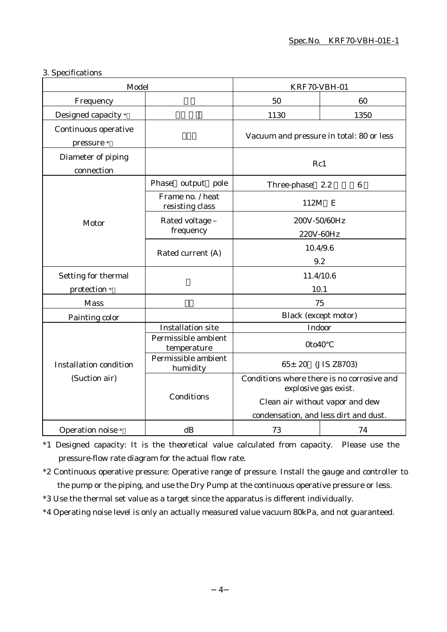## 3. Specifications

| Model                              |                                     | KRF70-VBH-01                                                                                                                                   |    |
|------------------------------------|-------------------------------------|------------------------------------------------------------------------------------------------------------------------------------------------|----|
| Frequency                          |                                     | 50                                                                                                                                             | 60 |
| Designed capacity *                |                                     | 1130<br>1350                                                                                                                                   |    |
| Continuous operative<br>pressure * |                                     | Vacuum and pressure in total: 80 or less                                                                                                       |    |
| Diameter of piping<br>connection   |                                     | Rc1                                                                                                                                            |    |
|                                    | Phase<br>output pole                | Three-phase 2.2                                                                                                                                | 6  |
|                                    | Frame no. / heat<br>resisting class | 112M                                                                                                                                           | E  |
| Motor                              | Rated voltage -<br>frequency        | 200V-50/60Hz<br>220V-60Hz                                                                                                                      |    |
|                                    | Rated current (A)                   | 10.4/9.6<br>9.2                                                                                                                                |    |
| Setting for thermal                |                                     | 11.4/10.6                                                                                                                                      |    |
| protection *                       |                                     | 10.1                                                                                                                                           |    |
| <b>Mass</b>                        |                                     | 75                                                                                                                                             |    |
| Painting color                     |                                     | <b>Black</b> (except motor)                                                                                                                    |    |
|                                    | <b>Installation site</b>            | Indoor                                                                                                                                         |    |
|                                    | Permissible ambient<br>temperature  | 0to40                                                                                                                                          |    |
| <b>Installation condition</b>      | Permissible ambient<br>humidity     | $65 \pm 20$<br>(JIS Z8703)                                                                                                                     |    |
| (Suction air)                      | Conditions                          | Conditions where there is no corrosive and<br>explosive gas exist.<br>Clean air without vapor and dew<br>condensation, and less dirt and dust. |    |
| Operation noise *                  | dB                                  | 73                                                                                                                                             | 74 |

\*1 Designed capacity: It is the theoretical value calculated from capacity. Please use the pressure-flow rate diagram for the actual flow rate.

\*2 Continuous operative pressure: Operative range of pressure. Install the gauge and controller to the pump or the piping, and use the Dry Pump at the continuous operative pressure or less.

\*3 Use the thermal set value as a target since the apparatus is different individually.

\*4 Operating noise level is only an actually measured value vacuum 80kPa, and not guaranteed.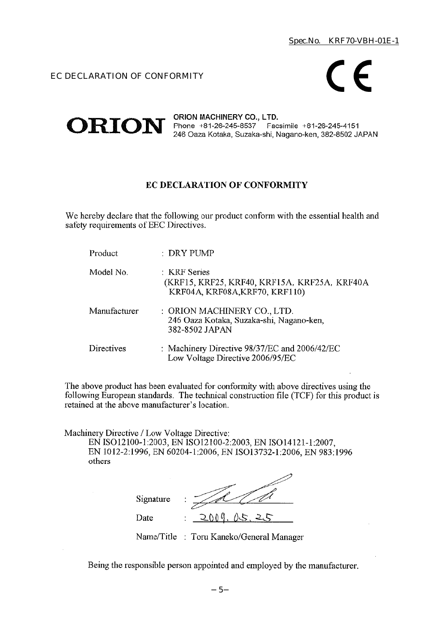# EC DECLARATION OF CONFORMITY



#### ORION MACHINERY CO., LTD.  $ORION$  Phone +81-26-245-8537 Facsimile +81-26-245-4151 246 Oaza Kotaka, Suzaka-shi, Nagano-ken, 382-8502 JAPAN

# EC DECLARATION OF CONFORMITY

We hereby declare that the following our product conform with the essential health and safety requirements of EEC Directives.

| Product      | $\therefore$ DRY PUMP                                                                          |
|--------------|------------------------------------------------------------------------------------------------|
| Model No.    | : KRF Series<br>(KRF15, KRF25, KRF40, KRF15A, KRF25A, KRF40A<br>KRF04A, KRF08A, KRF70, KRF110) |
| Manufacturer | : ORION MACHINERY CO., LTD.<br>246 Oaza Kotaka, Suzaka-shi, Nagano-ken,<br>382-8502 JAPAN      |
| Directives   | : Machinery Directive 98/37/EC and 2006/42/EC<br>Low Voltage Directive 2006/95/EC              |

The above product has been evaluated for conformity with above directives using the following European standards. The technical construction file (TCF) for this product is retained at the above manufacturer's location.

Machinery Directive / Low Voltage Directive:

EN ISO12100-1:2003, EN ISO12100-2:2003, EN ISO14121-1:2007, EN 1012-2:1996, EN 60204-1:2006, EN ISO13732-1:2006, EN 983:1996 others

| Signature | ٠<br>٠ |             |
|-----------|--------|-------------|
| Date      | ٠<br>٠ | 0.00<br>ヘヒー |

Name/Title : Toru Kaneko/General Manager

Being the responsible person appointed and employed by the manufacturer.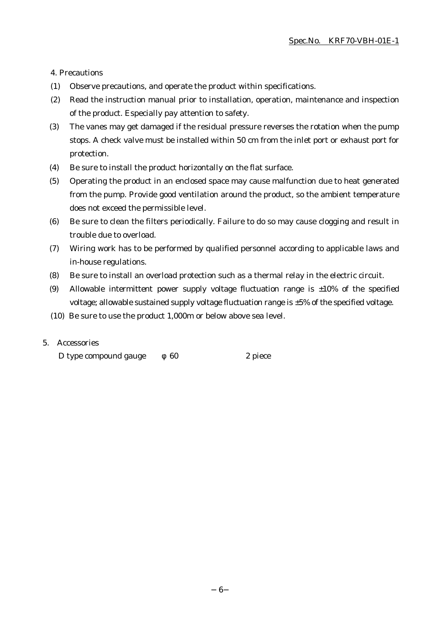4. Precautions

- (1) Observe precautions, and operate the product within specifications.
- (2) Read the instruction manual prior to installation, operation, maintenance and inspection of the product. Especially pay attention to safety.
- (3) The vanes may get damaged if the residual pressure reverses the rotation when the pump stops. A check valve must be installed within 50 cm from the inlet port or exhaust port for protection.
- (4) Be sure to install the product horizontally on the flat surface.
- (5) Operating the product in an enclosed space may cause malfunction due to heat generated from the pump. Provide good ventilation around the product, so the ambient temperature does not exceed the permissible level.
- (6) Be sure to clean the filters periodically. Failure to do so may cause clogging and result in trouble due to overload.
- (7) Wiring work has to be performed by qualified personnel according to applicable laws and in-house regulations.
- (8) Be sure to install an overload protection such as a thermal relay in the electric circuit.
- (9) Allowable intermittent power supply voltage fluctuation range is  $\pm 10\%$  of the specified voltage; allowable sustained supply voltage fluctuation range is ±5% of the specified voltage.
- (10) Be sure to use the product 1,000m or below above sea level.

#### 5. Accessories

D type compound gauge  $60$  2 piece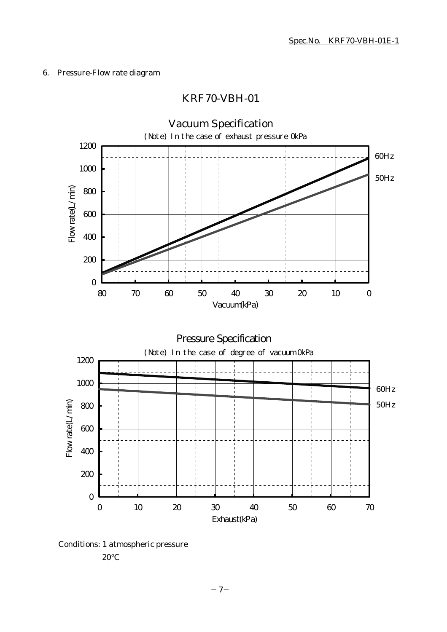# 6. Pressure-Flow rate diagram

# KRF70-VBH-01



Conditions: 1 atmospheric pressure

20